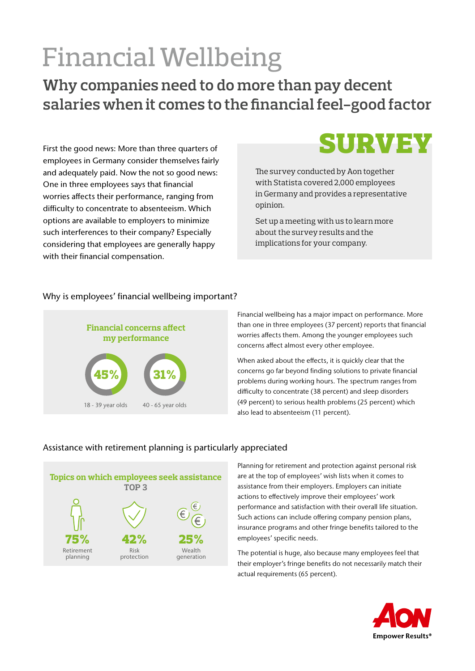# Financial Wellbeing

**Why companies need to do more than pay decent salaries when it comes to the financial feel-good factor**

First the good news: More than three quarters of employees in Germany consider themselves fairly and adequately paid. Now the not so good news: One in three employees says that financial worries affects their performance, ranging from difficulty to concentrate to absenteeism. Which options are available to employers to minimize such interferences to their company? Especially considering that employees are generally happy with their financial compensation.



The survey conducted by Aon together with Statista covered 2,000 employees in Germany and provides a representative opinion.

Set up a meeting with us to learn more about the survey results and the implications for your company.

## Why is employees' financial wellbeing important?



Financial wellbeing has a major impact on performance. More than one in three employees (37 percent) reports that financial worries affects them. Among the younger employees such concerns affect almost every other employee.

When asked about the effects, it is quickly clear that the concerns go far beyond finding solutions to private financial problems during working hours. The spectrum ranges from difficulty to concentrate (38 percent) and sleep disorders (49 percent) to serious health problems (25 percent) which also lead to absenteeism (11 percent).

## Assistance with retirement planning is particularly appreciated



Planning for retirement and protection against personal risk are at the top of employees' wish lists when it comes to assistance from their employers. Employers can initiate actions to effectively improve their employees' work performance and satisfaction with their overall life situation. Such actions can include offering company pension plans, insurance programs and other fringe benefits tailored to the employees' specific needs.

The potential is huge, also because many employees feel that their employer's fringe benefits do not necessarily match their actual requirements (65 percent).